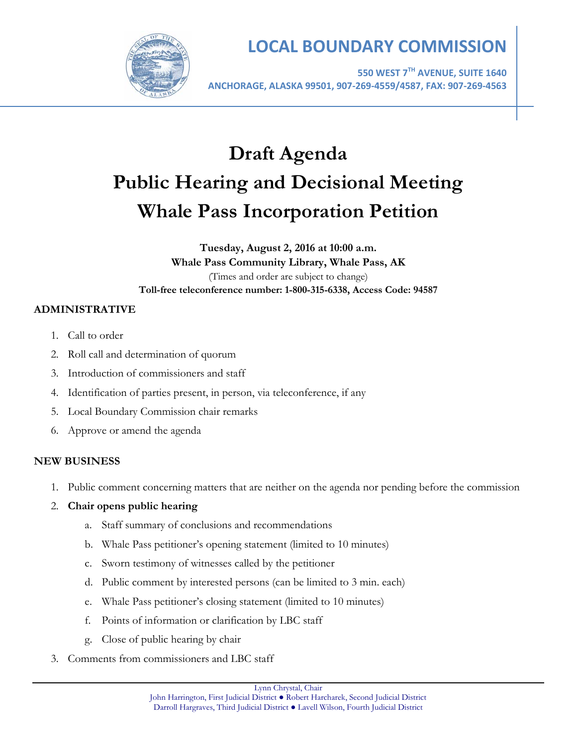

# **LOCAL BOUNDARY COMMISSION**

**550 WEST 7TH AVENUE, SUITE 1640 ANCHORAGE, ALASKA 99501, 907-269-4559/4587, FAX: 907-269-4563**

# **Draft Agenda Public Hearing and Decisional Meeting Whale Pass Incorporation Petition**

# **Tuesday, August 2, 2016 at 10:00 a.m. Whale Pass Community Library, Whale Pass, AK** (Times and order are subject to change) **Toll-free teleconference number: 1-800-315-6338, Access Code: 94587**

# **ADMINISTRATIVE**

- 1. Call to order
- 2. Roll call and determination of quorum
- 3. Introduction of commissioners and staff
- 4. Identification of parties present, in person, via teleconference, if any
- 5. Local Boundary Commission chair remarks
- 6. Approve or amend the agenda

### **NEW BUSINESS**

- 1. Public comment concerning matters that are neither on the agenda nor pending before the commission
- 2. **Chair opens public hearing**
	- a. Staff summary of conclusions and recommendations
	- b. Whale Pass petitioner's opening statement (limited to 10 minutes)
	- c. Sworn testimony of witnesses called by the petitioner
	- d. Public comment by interested persons (can be limited to 3 min. each)
	- e. Whale Pass petitioner's closing statement (limited to 10 minutes)
	- f. Points of information or clarification by LBC staff
	- g. Close of public hearing by chair
- 3. Comments from commissioners and LBC staff